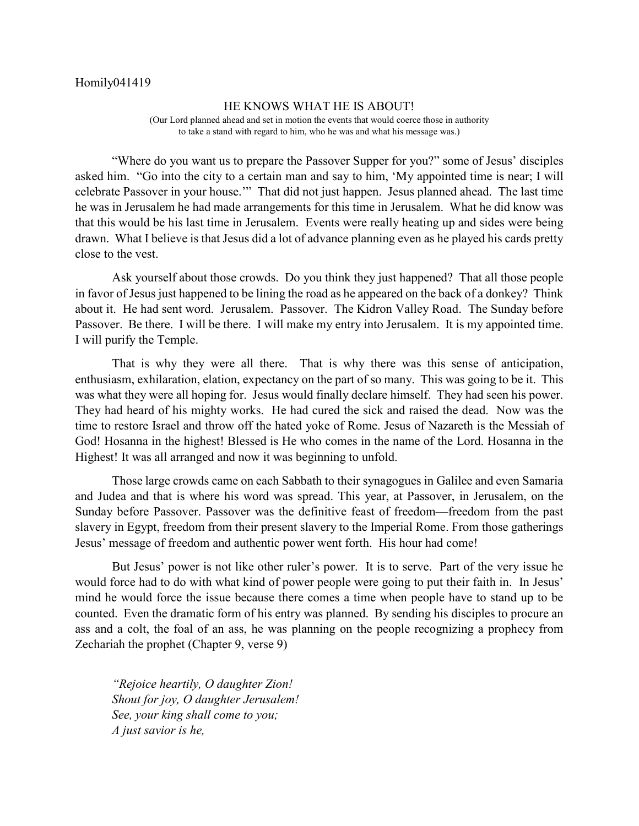## HE KNOWS WHAT HE IS ABOUT!

(Our Lord planned ahead and set in motion the events that would coerce those in authority to take a stand with regard to him, who he was and what his message was.)

"Where do you want us to prepare the Passover Supper for you?" some of Jesus' disciples asked him. "Go into the city to a certain man and say to him, 'My appointed time is near; I will celebrate Passover in your house.'" That did not just happen. Jesus planned ahead. The last time he was in Jerusalem he had made arrangements for this time in Jerusalem. What he did know was that this would be his last time in Jerusalem. Events were really heating up and sides were being drawn. What I believe is that Jesus did a lot of advance planning even as he played his cards pretty close to the vest.

Ask yourself about those crowds. Do you think they just happened? That all those people in favor of Jesus just happened to be lining the road as he appeared on the back of a donkey? Think about it. He had sent word. Jerusalem. Passover. The Kidron Valley Road. The Sunday before Passover. Be there. I will be there. I will make my entry into Jerusalem. It is my appointed time. I will purify the Temple.

That is why they were all there. That is why there was this sense of anticipation, enthusiasm, exhilaration, elation, expectancy on the part of so many. This was going to be it. This was what they were all hoping for. Jesus would finally declare himself. They had seen his power. They had heard of his mighty works. He had cured the sick and raised the dead. Now was the time to restore Israel and throw off the hated yoke of Rome. Jesus of Nazareth is the Messiah of God! Hosanna in the highest! Blessed is He who comes in the name of the Lord. Hosanna in the Highest! It was all arranged and now it was beginning to unfold.

Those large crowds came on each Sabbath to their synagogues in Galilee and even Samaria and Judea and that is where his word was spread. This year, at Passover, in Jerusalem, on the Sunday before Passover. Passover was the definitive feast of freedom—freedom from the past slavery in Egypt, freedom from their present slavery to the Imperial Rome. From those gatherings Jesus' message of freedom and authentic power went forth. His hour had come!

But Jesus' power is not like other ruler's power. It is to serve. Part of the very issue he would force had to do with what kind of power people were going to put their faith in. In Jesus' mind he would force the issue because there comes a time when people have to stand up to be counted. Even the dramatic form of his entry was planned. By sending his disciples to procure an ass and a colt, the foal of an ass, he was planning on the people recognizing a prophecy from Zechariah the prophet (Chapter 9, verse 9)

*"Rejoice heartily, O daughter Zion! Shout for joy, O daughter Jerusalem! See, your king shall come to you; A just savior is he,*